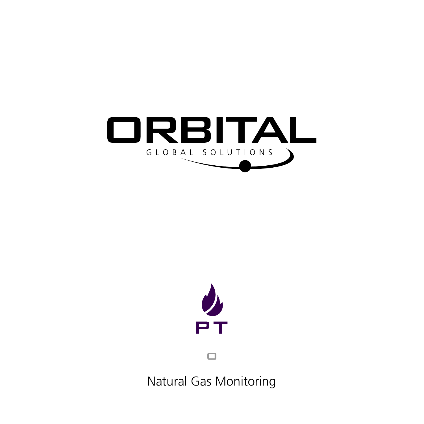



 $\Box$ 

Natural Gas Monitoring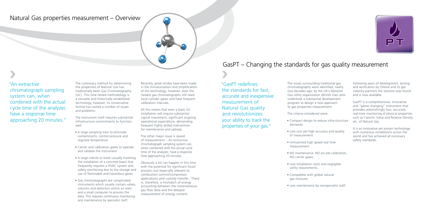## Natural Gas properties measurement – Overview

# GasPT – Changing the standards for gas quality measurement

The customary method for determining the properties of Natural Gas has traditionally been Gas Chromatography (GC). This time tested methodology is a versatile and historically established technology, however, its conservative format has rooted a number of issues and problems:

The instrument itself requires substantial infrastructure commitments to function well:

- A large sampling train to eliminate contaminants, control pressure and regulate temperature.
- Carrier and calibration gases to operate and validate the instrument
- A large cubicle or kiosk (usually involving the installation of a concrete base) that frequently requires a HVAC system and safety monitoring due to the storage and use of flammable and hazardous gases
- Gas chromatographs are complicated instruments which usually contain valves, columns and detectors within an oven and a small computer to process the data. This requires continuous monitoring and maintenance by specialist staff.

Recently, great strides have been made in the miniaturization and simplification of the technology; however, even the newest gas chromatographs still need local cylinder gases and have frequent calibration intervals.

All this means that even a basic GC installation will require substantial capital investment, significant ongoing operational expenditure, demanding frequent highly skilled intervention for maintenance and upkeep.

The other major issue is speed of measurement – An extractive chromatograph sampling system can, when combined with the actual cycle time of the analyzer, have a response time approaching 20 minutes.

Obviously a lot can happen in this time with the potential for significant fiscal/ process cost especially relevant to combustion control/compressor applications and custody transfer. There is, therefore, a mismatch of energy accounting between the instantaneous gas flow data and the delayed measurement of energy content.

The issues surrounding traditional gas chromatography were identified, nearly two decades ago, by the UK's National Gas utility organization (British Gas) who undertook a substantial development program to design a new approach to gas properties measurement.

The criteria considered were:

- Compact design to reduce infra-structure demands.
- Low cost yet high accuracy and quality of measurement.
- Unmatched high speed real time measurement.
- NO maintenance, NO on-site calibration, NO carrier gases.
- Low installation costs and negligible utility requirements.
- Compatible with global natural gas mixtures.
- Low maintenance by nonspecialist staff.



Following years of development, testing and verification by Orbital and its gas industry partners the solution was found and is now available.

GasPT is a comprehensive, innovative and "game changing" instrument that provides astonishingly fast, accurate, real-time monitoring of physical properties such as Calorific Value and Relative Density etc. of Natural Gas.

It is an innovative yet proven technology with numerous installations across the world and has achieved all necessary safety standards.

"An extractive chromatograph sampling system can, when combined with the actual cycle time of the analyzer, have a response time approaching 20 minutes." "GasPT redefines the standards for fast, accurate and inexpensive measurement of Natural Gas quality and revolutionizes your ability to track the properties of your gas."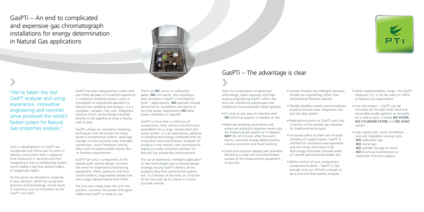GasPTi – An end to complicated and expensive gas chromatograph installations for energy determination in Natural Gas applications



# GasPTi – The advantage is clear

Early in development of GasPT we recognized that there was no point in taking a instrument with a response time measured in seconds and then integrating it into a conditioning system which added a lag time several orders of magnitude higher.

At this point we decided to engineer a new solution, which by using best practices and technology, would result in a product just as innovative as the GasPT unit itself.

With its combination of advanced technology, rapid response and high quality engineering GasPTi offers the end user substantial advantages over traditional chromatograph based systems:

- It's easy to use, easy to interface and **NO** technical support is needed on site.
- Reduced sampling uncertainty and enhanced analytical response means you are measuring gas quality as it happens **NOT** 20–30 minutes after the event hence, improved energy determination, volume correction and fiscal tracking.
- Small and constant sample path diameter, delivering a small and uncontaminated sample to the measurement equipment in seconds.
- Sample filtration by intelligent dynamic sample tip engineering rather than conventional filtration devices.
- Flexible Modbus based communications protocol ensures easy integration into any site data system.
- Reduced emissions as GasPTi uses only a fraction of the sample gas required for traditional techniques.
- Increased safety as there are no large cylinders of support gases, GasPTi is certified for hazardous area operation and the Vortex Elimination (VE) technology eliminates stressed welds on sample points/sample probe loss.
- Better control of your combustion/ compressor/turbine – GasPTi is fast enough and cost efficient enough to be a practical feed quality analyzer.



- 
- 
- Wide implementation range As GasPTi measures  $CO<sub>2</sub>$  it can be used on >95% of Natural Gas applications.
- Low site impact GasPTi can be mounted on the pipe (with fixed and retractable probe options) or remotely on a wall or post. It needs **NO KIOSK**, **NO CYLINDER STORE** and **NO HVAC** system.
- Low capital cost, lower installation cost and negligible running costs.
- **NO** calibration gas
- **NO** carrier gas
- **NO** cylinder storage or rental
- **NO** bi-annual maintenance or expensive technical support.

"We've taken the fast GasPT analyzer and using experience, innovative engineering and common sense produced the world's fastest system for Natural Gas properties analysis."

GasPTi has been designed by a team with over three decades of combined experience in analytical sampling systems and is a completely re-engineered approach to Natural Gas sampling and analysis. It is a complete, compact, low cost, integrated solution which can be flange mounted directly to the pipeline or onto a nearby wall or post.

GasPTi utilizes an innovative sampling techniques that eliminates the flaws found in conventional systems: dead legs, changes in cross-sectional area, threaded connections, Joule-Thompson cooling effect and increased sample volume due to filtration requirements.

GasPTi has only 2 components in the sample path and by design removes the need for expensive conditioning equipment, filters, pressure and flow control systems, long heated sample lines and a large cabinet/cubicle with HVAC.

The end user simply bolts the unit into position, connects the power and signal cables and GasPTi is ready to use.

There are **NO** carrier or calibration gases, **NO** civil works, few hazardous area limitations (GasPTi is certified for Zone 1 applications), **NO** specially trained personnel for installation and due to its very low power requirements **NO** large power installation is required.

GasPTi is more than a collection of components, from various manufacturers, assembled into a large, complicated and costly system. It is an evolutionary advance in sampling technology combined with an innovative and revolutionary analyzer to produce a low impact, low maintenance, highly accurate complete solution for Natural Gas properties measurement.

The use of experience, intelligent application of new technologies and a cohesive design strategy ensures GasPTi delivers all the property data that conventional systems can, in a fraction of the time, at a fraction of the cost and, by its nature in a more accurate manner.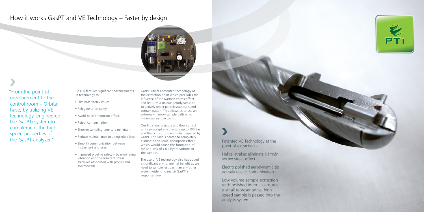# How it works GasPT and VE Technology – Faster by design



GasPTi features significant advancements in technology to:

- Eliminate vortex issues.
- Relegate uncertainty.
- Avoid Joule Thompson effect.
- Reject contamination.
- Shorten sampling time to a minimum.
- Reduce maintenance to a negligible level.
- Simplify communication between instrument and user.
- Improved pipeline safety by eliminating vibration and the resultant stress fractures associated with probes and thermowells.

GasPTi utilizes patented technology at the extraction point which precludes the influence of the Kármán vortex effect and features a unique aerodynamic tip to actively reject particles/aerosols and contamination. This allows us to use an extremely narrow sample path which minimizes sample transit.

Our filtration, pressure and flow control unit can accept any pressure up to 100 Bar and then cuts it to the 30mbar required by GasPT. This unit is heated to completely eliminate the Joule Thompson effect which would cause the formation of ice and loss of C6+ hydrocarbons in the sample.

The use of VE technology also has added a significant environmental benefit as we need to sample less gas than any other system wishing to match GasPTi's response time.

Patented VE Technology at the point of extraction –

Helical strakes eliminate Kármán vortex street effect

Electro polished aerodynamic tip actively rejects contamination

Low volume sample extraction with polished internals ensures a small representative, high speed sample is passed into the analysis system





"From the point of measurement to the control room – Orbital have, by utilizing VE technology, engineered the GasPTi system to complement the high speed properties of the GasPT analyzer."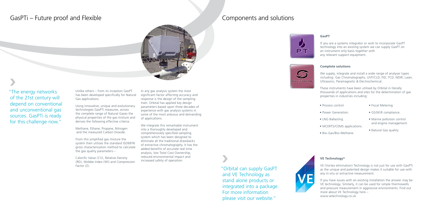## GasPTi – Future proof and Flexible

Unlike others – from its inception GasPT has been developed specifically for Natural Gas applications.

Using innovative, unique and evolutionary technologies GasPTi measures, across the complete range of Natural Gases the physical properties of the gas mixture and derives the following effective criteria:

Methane, Ethane, Propane, Nitrogen and the measured Carbon Dioxide.

From this simplified gas mixture the system then utilizes the standard ISO6976 gross characterisation method to calculate the gas quality parameters –

Calorific Value (CV), Relative Density (RD), Wobbe Index (WI) and Compression Factor (Z).

If you are a systems integrator or wish to incorporate GasPT technology into an existing system we can supply GasPT on an instrument only basis together with any relevant support equipment.

In any gas analysis system the most significant factor affecting accuracy and response is the design of the sampling train. Orbital has applied key design parameters based upon three decades of experience with gas analysis systems in some of the most arduous and demanding of applications.

We integrate this remarkable instrument into a thoroughly developed and comprehensively specified sampling system which has been designed to eliminate all the traditional drawbacks of extractive chromatography. It has the added benefits of accurate real time analysis, low Total Cost Ownership, reduced environmental impact and increased safety of operation.





"The energy networks of the 21st century will depend on conventional and unconventional gas sources. GasPTi is ready for this challenge now."

## Components and solutions



### **GasPT**

### **Complete solutions**

We supply, integrate and install a wide range of analyser types including: Gas Chromatographs, UVF/CLD, FID, TCD, NDIR, Laser, Ultrasonic, Paramagnetic & Electrochemical.

These instruments have been utilised by Orbital in literally thousands of applications and sites for the determination of gas properties in industries including:

- Process control.
- Fiscal Metering.
- Power Generation.
- LNG Ballasting.
- MCERTS/CEMS applications.
- Bio-Gas/Bio-Methane.
- GS(M)R compliance.
- Marine pollution control and engine management.
- Natural Gas quality.

"Orbital can supply GasPT and VE Technology as stand alone products or integrated into a package. For more information please visit our website."



### **VE Technology®**

VE (Vortex elimination) Technology is not just for use with GasPTi as the unique and patented design makes it suitable for use with any in-situ or extractive measurement.

If you have issues with an existing installation the answer may be VE technology. Similarly, it can be used for simple thermowells and pressure measurement in aggressive environments. Find out more about VE Technology here – www.vetechnology.co.uk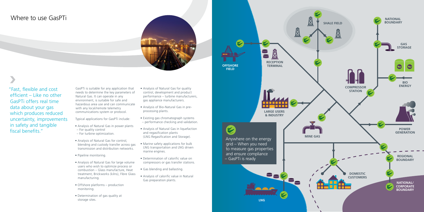

# Where to use GasPTi

![](_page_5_Picture_1.jpeg)

GasPTi is suitable for any application that needs to determine the key parameters of Natural Gas. It can operate in any environment, is suitable for safe and hazardous area use and can communicate with any local/remote telemetry communications system or protocol.

Typical applications for GasPTi include:

- Analysis of Natural Gas in power plants
- For quality control
- For turbine optimization.
- Analysis of Natural Gas for control, blending and custody transfer across gas transmission and distribution networks.
- Pipeline monitoring.
- Analysis of Natural Gas for large volume users who wish to optimize process or combustion – Glass manufacture, Heat treatment, Brickworks (kilns), Fibre Glass manufacturing.
- Offshore platforms production monitoring.
- Determination of gas quality at storage sites.
- Analysis of Natural Gas for quality control, development and product performance – turbine manufacturers, gas appliance manufacturers.
- Analysis of Bio-Natural Gas in preprocessing plants.
- Existing gas chromatograph systems – performance checking and validation.
- Analysis of Natural Gas in liquefaction and regasification plants (LNG Regasification and Storage).
- Marine safety applications for bulk LNG transportation and LNG driven marine engines.
- Determination of calorific value on compressors or gas transfer stations.
- Gas blending and ballasting.
- Analysis of calorific value in Natural Gas preparation plants.

"Fast, flexible and cost efficient – Like no other GasPTi offers real time data about your gas which produces reduced uncertainty, improvements in safety and tangible fiscal benefits."